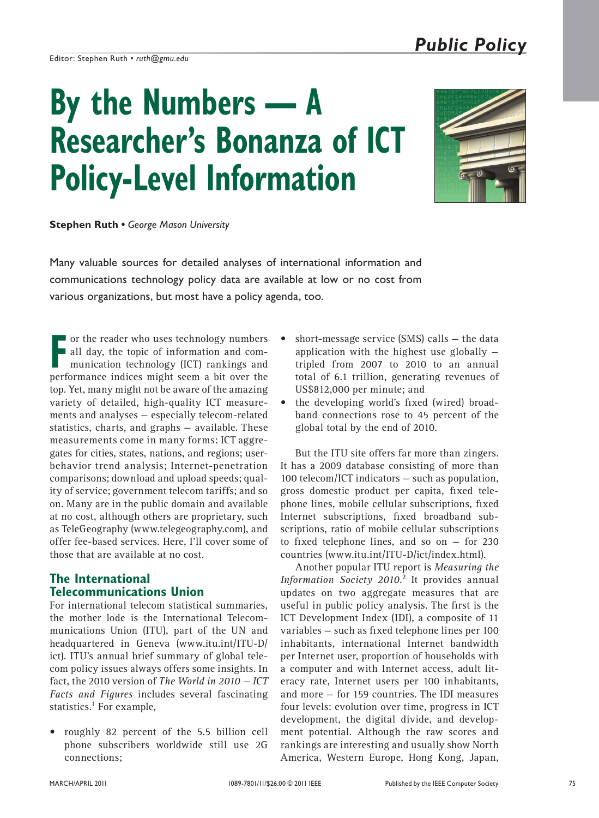#### Editor: Stephen Ruth *• ruth@gmu.edu*

# **By the Numbers — A Researcher's Bonanza of ICT Policy-Level Information**



**Stephen Ruth •** *George Mason University*

Many valuable sources for detailed analyses of international information and communications technology policy data are available at low or no cost from various organizations, but most have a policy agenda, too.

**FR** or the reader who uses technology numbers<br>all day, the topic of information and com-<br>munication technology (ICT) rankings and all day, the topic of information and communication technology (ICT) rankings and performance indices might seem a bit over the top. Yet, many might not be aware of the amazing variety of detailed, high-quality ICT measurements and analyses — especially telecom-related statistics, charts, and graphs — available. These measurements come in many forms: ICT aggregates for cities, states, nations, and regions; userbehavior trend analysis; Internet-penetration comparisons; download and upload speeds; quality of service; government telecom tariffs; and so on. Many are in the public domain and available at no cost, although others are proprietary, such as TeleGeography (www.telegeography.com), and offer fee-based services. Here, I'll cover some of those that are available at no cost.

## **The International Telecommunications Union**

For international telecom statistical summaries, the mother lode is the International Telecommunications Union (ITU), part of the UN and headquartered in Geneva (www.itu.int/ITU-D/ ict). ITU's annual brief summary of global telecom policy issues always offers some insights. In fact, the 2010 version of *The World in 2010 — ICT Facts and Figures* includes several fascinating statistics. $<sup>1</sup>$  For example,</sup>

• roughly 82 percent of the 5.5 billion cell phone subscribers worldwide still use 2G connections;

- short-message service (SMS) calls  $-$  the data application with the highest use globally tripled from 2007 to 2010 to an annual total of 6.1 trillion, generating revenues of US\$812,000 per minute; and
- the developing world's fixed (wired) broadband connections rose to 45 percent of the global total by the end of 2010.

But the ITU site offers far more than zingers. It has a 2009 database consisting of more than 100 telecom/ICT indicators — such as population, gross domestic product per capita, fixed telephone lines, mobile cellular subscriptions, fixed Internet subscriptions, fixed broadband subscriptions, ratio of mobile cellular subscriptions to fixed telephone lines, and so on  $-$  for 230 countries (www.itu.int/ITU-D/ict/index.html).

Another popular ITU report is *Measuring the Information Society 2010*. 2 It provides annual updates on two aggregate measures that are useful in public policy analysis. The first is the ICT Development Index (IDI), a composite of 11 variables — such as fixed telephone lines per 100 inhabitants, international Internet bandwidth per Internet user, proportion of households with a computer and with Internet access, adult literacy rate, Internet users per 100 inhabitants, and more — for 159 countries. The IDI measures four levels: evolution over time, progress in ICT development, the digital divide, and development potential. Although the raw scores and rankings are interesting and usually show North America, Western Europe, Hong Kong, Japan,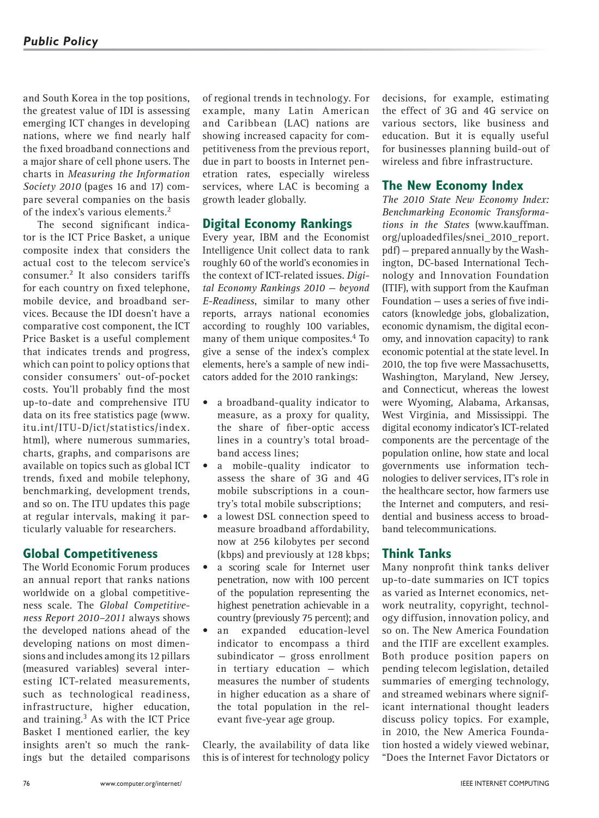and South Korea in the top positions, the greatest value of IDI is assessing emerging ICT changes in developing nations, where we find nearly half the fixed broadband connections and a major share of cell phone users. The charts in *Measuring the Information Society 2010* (pages 16 and 17) compare several companies on the basis of the index's various elements.<sup>2</sup>

The second significant indicator is the ICT Price Basket, a unique composite index that considers the actual cost to the telecom service's consumer.2 It also considers tariffs for each country on fixed telephone, mobile device, and broadband services. Because the IDI doesn't have a comparative cost component, the ICT Price Basket is a useful complement that indicates trends and progress, which can point to policy options that consider consumers' out-of-pocket costs. You'll probably find the most up-to-date and comprehensive ITU data on its free statistics page (www. itu.int/ITU-D/ict/statistics/index. html), where numerous summaries, charts, graphs, and comparisons are available on topics such as global ICT trends, fixed and mobile telephony, benchmarking, development trends, and so on. The ITU updates this page at regular intervals, making it particularly valuable for researchers.

#### **Global Competitiveness**

The World Economic Forum produces an annual report that ranks nations worldwide on a global competitiveness scale. The *Global Competitiveness Report 2010–2011* always shows the developed nations ahead of the developing nations on most dimensions and includes among its 12 pillars (measured variables) several interesting ICT-related measurements, such as technological readiness, infrastructure, higher education, and training.3 As with the ICT Price Basket I mentioned earlier, the key insights aren't so much the rankings but the detailed comparisons

of regional trends in technology. For example, many Latin American and Caribbean (LAC) nations are showing increased capacity for competitiveness from the previous report, due in part to boosts in Internet penetration rates, especially wireless services, where LAC is becoming a growth leader globally.

## **Digital Economy Rankings**

Every year, IBM and the Economist Intelligence Unit collect data to rank roughly 60 of the world's economies in the context of ICT-related issues. *Digital Economy Rankings 2010 — beyond E-Readiness*, similar to many other reports, arrays national economies according to roughly 100 variables, many of them unique composites.4 To give a sense of the index's complex elements, here's a sample of new indicators added for the 2010 rankings:

- a broadband-quality indicator to measure, as a proxy for quality, the share of fiber-optic access lines in a country's total broadband access lines;
- a mobile-quality indicator to assess the share of 3G and 4G mobile subscriptions in a country's total mobile subscriptions;
- a lowest DSL connection speed to measure broadband affordability, now at 256 kilobytes per second (kbps) and previously at 128 kbps;
- a scoring scale for Internet user penetration, now with 100 percent of the population representing the highest penetration achievable in a country (previously 75 percent); and
- an expanded education-level indicator to encompass a third subindicator — gross enrollment in tertiary education — which measures the number of students in higher education as a share of the total population in the relevant five-year age group.

Clearly, the availability of data like this is of interest for technology policy

decisions, for example, estimating the effect of 3G and 4G service on various sectors, like business and education. But it is equally useful for businesses planning build-out of wireless and fibre infrastructure.

#### **The New Economy Index**

*The 2010 State New Economy Index: Benchmarking Economic Transformations in the States* (www.kauffman. org/uploadedfiles/snei\_2010\_report. pdf) — prepared annually by the Washington, DC-based International Technology and Innovation Foundation (ITIF), with support from the Kaufman Foundation — uses a series of five indicators (knowledge jobs, globalization, economic dynamism, the digital economy, and innovation capacity) to rank economic potential at the state level. In 2010, the top five were Massachusetts, Washington, Maryland, New Jersey, and Connecticut, whereas the lowest were Wyoming, Alabama, Arkansas, West Virginia, and Mississippi. The digital economy indicator's ICT-related components are the percentage of the population online, how state and local governments use information technologies to deliver services, IT's role in the healthcare sector, how farmers use the Internet and computers, and residential and business access to broadband telecommunications.

# **Think Tanks**

Many nonprofit think tanks deliver up-to-date summaries on ICT topics as varied as Internet economics, network neutrality, copyright, technology diffusion, innovation policy, and so on. The New America Foundation and the ITIF are excellent examples. Both produce position papers on pending telecom legislation, detailed summaries of emerging technology, and streamed webinars where significant international thought leaders discuss policy topics. For example, in 2010, the New America Foundation hosted a widely viewed webinar, "Does the Internet Favor Dictators or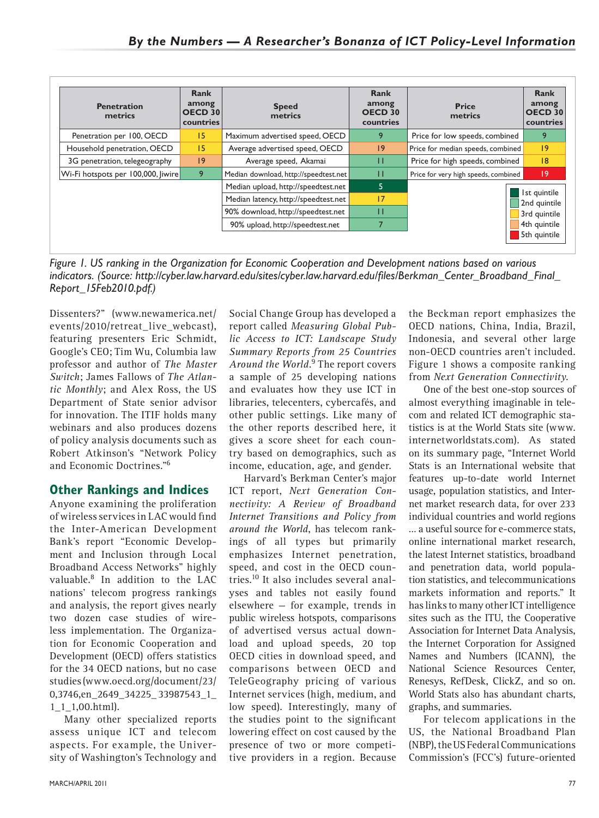| <b>Penetration</b><br>metrics      | Rank<br>among<br>OECD 30<br>countries | <b>Speed</b><br>metrics               | Rank<br>among<br><b>OECD 30</b><br>countries | <b>Price</b><br>metrics              | Rank<br>among<br><b>OECD 30</b><br>countries |
|------------------------------------|---------------------------------------|---------------------------------------|----------------------------------------------|--------------------------------------|----------------------------------------------|
| Penetration per 100, OECD          | 15                                    | Maximum advertised speed, OECD        | 9                                            | Price for low speeds, combined       | 9                                            |
| Household penetration, OECD        | 15                                    | Average advertised speed, OECD        | 9                                            | Price for median speeds, combined    | 19                                           |
| 3G penetration, telegeography      | 9                                     | Average speed, Akamai                 | п                                            | Price for high speeds, combined      | 8                                            |
| Wi-Fi hotspots per 100,000, Jiwire | 9                                     | Median download, http://speedtest.net | п                                            | Price for very high speeds, combined | 19                                           |
|                                    |                                       | Median upload, http://speedtest.net   | 5                                            |                                      |                                              |
|                                    |                                       | Median latency, http://speedtest.net  | 17                                           |                                      | Ist quintile<br>2nd quintile                 |
|                                    |                                       | 90% download, http://speedtest.net    | п                                            |                                      | 3rd quintile                                 |
|                                    |                                       | 90% upload, http://speedtest.net      |                                              |                                      | 4th quintile                                 |
|                                    |                                       |                                       |                                              |                                      | 5th quintile                                 |

*Figure 1. US ranking in the Organization for Economic Cooperation and Development nations based on various indicators. (Source: http://cyber.law.harvard.edu/sites/cyber.law.harvard.edu/files/Berkman\_Center\_Broadband\_Final\_ Report\_15Feb2010.pdf.)*

Dissenters?" (www.newamerica.net/ events/2010/retreat\_live\_webcast), featuring presenters Eric Schmidt, Google's CEO; Tim Wu, Columbia law professor and author of *The Master Switch*; James Fallows of *The Atlantic Monthly*; and Alex Ross, the US Department of State senior advisor for innovation. The ITIF holds many webinars and also produces dozens of policy analysis documents such as Robert Atkinson's "Network Policy and Economic Doctrines."6

# **Other Rankings and Indices**

Anyone examining the proliferation of wireless services in LAC would find the Inter-American Development Bank's report "Economic Development and Inclusion through Local Broadband Access Networks" highly valuable.8 In addition to the LAC nations' telecom progress rankings and analysis, the report gives nearly two dozen case studies of wireless implementation. The Organization for Economic Cooperation and Development (OECD) offers statistics for the 34 OECD nations, but no case studies (www.oecd.org/document/23/ 0,3746,en\_2649\_34225\_ 33987543\_1\_ 1\_1\_1,00.html).

Many other specialized reports assess unique ICT and telecom aspects. For example, the University of Washington's Technology and Social Change Group has developed a report called *Measuring Global Public Access to ICT: Landscape Study Summary Reports from 25 Countries Around the World*. 9 The report covers a sample of 25 developing nations and evaluates how they use ICT in libraries, telecenters, cybercafés, and other public settings. Like many of the other reports described here, it gives a score sheet for each country based on demographics, such as income, education, age, and gender.

Harvard's Berkman Center's major ICT report, *Next Generation Connectivity: A Review of Broadband Internet Transitions and Policy from around the World*, has telecom rankings of all types but primarily emphasizes Internet penetration, speed, and cost in the OECD countries.10 It also includes several analyses and tables not easily found elsewhere — for example, trends in public wireless hotspots, comparisons of advertised versus actual download and upload speeds, 20 top OECD cities in download speed, and comparisons between OECD and TeleGeography pricing of various Internet services (high, medium, and low speed). Interestingly, many of the studies point to the significant lowering effect on cost caused by the presence of two or more competitive providers in a region. Because

the Beckman report emphasizes the OECD nations, China, India, Brazil, Indonesia, and several other large non-OECD countries aren't included. Figure 1 shows a composite ranking from *Next Generation Connectivity*.

One of the best one-stop sources of almost everything imaginable in telecom and related ICT demographic statistics is at the World Stats site (www. internetworldstats.com). As stated on its summary page, "Internet World Stats is an International website that features up-to-date world Internet usage, population statistics, and Internet market research data, for over 233 individual countries and world regions … a useful source for e-commerce stats, online international market research, the latest Internet statistics, broadband and penetration data, world population statistics, and telecommunications markets information and reports." It has links to many other ICT intelligence sites such as the ITU, the Cooperative Association for Internet Data Analysis, the Internet Corporation for Assigned Names and Numbers (ICANN), the National Science Resources Center, Renesys, RefDesk, ClickZ, and so on. World Stats also has abundant charts, graphs, and summaries.

For telecom applications in the US, the National Broadband Plan (NBP), the US Federal Communications Commission's (FCC's) future-oriented